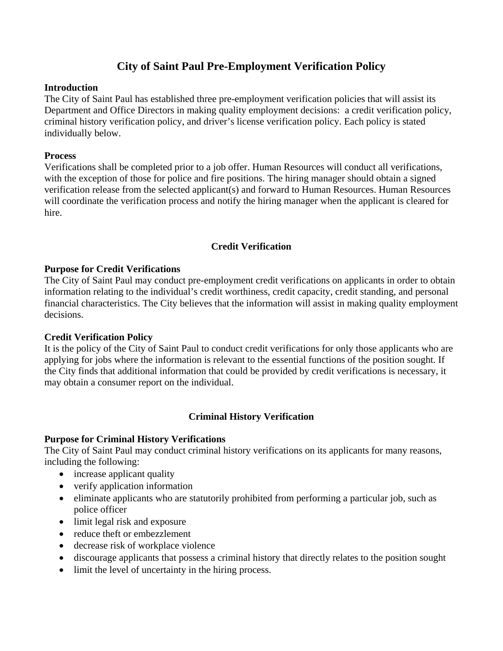# **City of Saint Paul Pre-Employment Verification Policy**

## **Introduction**

The City of Saint Paul has established three pre-employment verification policies that will assist its Department and Office Directors in making quality employment decisions: a credit verification policy, criminal history verification policy, and driver's license verification policy. Each policy is stated individually below.

### **Process**

Verifications shall be completed prior to a job offer. Human Resources will conduct all verifications, with the exception of those for police and fire positions. The hiring manager should obtain a signed verification release from the selected applicant(s) and forward to Human Resources. Human Resources will coordinate the verification process and notify the hiring manager when the applicant is cleared for hire.

## **Credit Verification**

## **Purpose for Credit Verifications**

The City of Saint Paul may conduct pre-employment credit verifications on applicants in order to obtain information relating to the individual's credit worthiness, credit capacity, credit standing, and personal financial characteristics. The City believes that the information will assist in making quality employment decisions.

## **Credit Verification Policy**

It is the policy of the City of Saint Paul to conduct credit verifications for only those applicants who are applying for jobs where the information is relevant to the essential functions of the position sought. If the City finds that additional information that could be provided by credit verifications is necessary, it may obtain a consumer report on the individual.

## **Criminal History Verification**

#### **Purpose for Criminal History Verifications**

The City of Saint Paul may conduct criminal history verifications on its applicants for many reasons, including the following:

- increase applicant quality
- verify application information
- eliminate applicants who are statutorily prohibited from performing a particular job, such as police officer
- limit legal risk and exposure
- reduce theft or embezzlement
- decrease risk of workplace violence
- discourage applicants that possess a criminal history that directly relates to the position sought
- limit the level of uncertainty in the hiring process.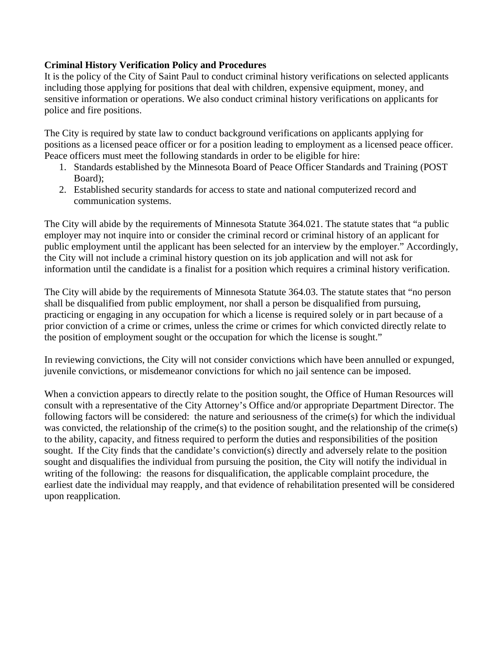## **Criminal History Verification Policy and Procedures**

It is the policy of the City of Saint Paul to conduct criminal history verifications on selected applicants including those applying for positions that deal with children, expensive equipment, money, and sensitive information or operations. We also conduct criminal history verifications on applicants for police and fire positions.

The City is required by state law to conduct background verifications on applicants applying for positions as a licensed peace officer or for a position leading to employment as a licensed peace officer. Peace officers must meet the following standards in order to be eligible for hire:

- 1. Standards established by the Minnesota Board of Peace Officer Standards and Training (POST Board);
- 2. Established security standards for access to state and national computerized record and communication systems.

The City will abide by the requirements of Minnesota Statute 364.021. The statute states that "a public employer may not inquire into or consider the criminal record or criminal history of an applicant for public employment until the applicant has been selected for an interview by the employer." Accordingly, the City will not include a criminal history question on its job application and will not ask for information until the candidate is a finalist for a position which requires a criminal history verification.

The City will abide by the requirements of Minnesota Statute 364.03. The statute states that "no person shall be disqualified from public employment, nor shall a person be disqualified from pursuing, practicing or engaging in any occupation for which a license is required solely or in part because of a prior conviction of a crime or crimes, unless the crime or crimes for which convicted directly relate to the position of employment sought or the occupation for which the license is sought."

In reviewing convictions, the City will not consider convictions which have been annulled or expunged, juvenile convictions, or misdemeanor convictions for which no jail sentence can be imposed.

When a conviction appears to directly relate to the position sought, the Office of Human Resources will consult with a representative of the City Attorney's Office and/or appropriate Department Director. The following factors will be considered: the nature and seriousness of the crime(s) for which the individual was convicted, the relationship of the crime(s) to the position sought, and the relationship of the crime(s) to the ability, capacity, and fitness required to perform the duties and responsibilities of the position sought. If the City finds that the candidate's conviction(s) directly and adversely relate to the position sought and disqualifies the individual from pursuing the position, the City will notify the individual in writing of the following: the reasons for disqualification, the applicable complaint procedure, the earliest date the individual may reapply, and that evidence of rehabilitation presented will be considered upon reapplication.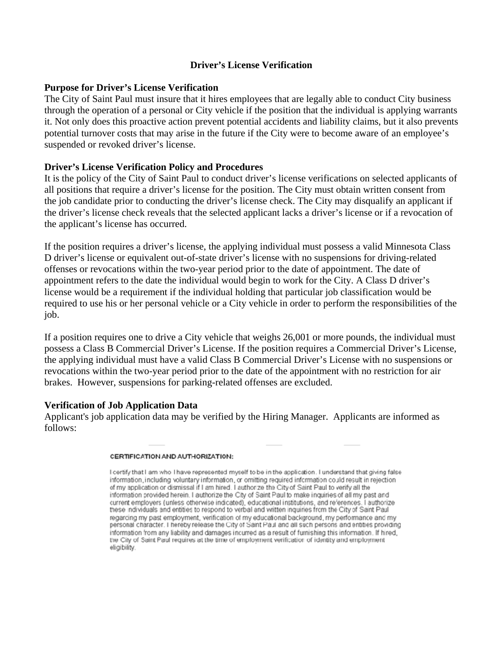### **Driver's License Verification**

### **Purpose for Driver's License Verification**

The City of Saint Paul must insure that it hires employees that are legally able to conduct City business through the operation of a personal or City vehicle if the position that the individual is applying warrants it. Not only does this proactive action prevent potential accidents and liability claims, but it also prevents potential turnover costs that may arise in the future if the City were to become aware of an employee's suspended or revoked driver's license.

## **Driver's License Verification Policy and Procedures**

It is the policy of the City of Saint Paul to conduct driver's license verifications on selected applicants of all positions that require a driver's license for the position. The City must obtain written consent from the job candidate prior to conducting the driver's license check. The City may disqualify an applicant if the driver's license check reveals that the selected applicant lacks a driver's license or if a revocation of the applicant's license has occurred.

If the position requires a driver's license, the applying individual must possess a valid Minnesota Class D driver's license or equivalent out-of-state driver's license with no suspensions for driving-related offenses or revocations within the two-year period prior to the date of appointment. The date of appointment refers to the date the individual would begin to work for the City. A Class D driver's license would be a requirement if the individual holding that particular job classification would be required to use his or her personal vehicle or a City vehicle in order to perform the responsibilities of the job.

If a position requires one to drive a City vehicle that weighs 26,001 or more pounds, the individual must possess a Class B Commercial Driver's License. If the position requires a Commercial Driver's License, the applying individual must have a valid Class B Commercial Driver's License with no suspensions or revocations within the two-year period prior to the date of the appointment with no restriction for air brakes. However, suspensions for parking-related offenses are excluded.

#### **Verification of Job Application Data**

Applicant's job application data may be verified by the Hiring Manager. Applicants are informed as follows:

#### CERTIFICATION AND AUTHORIZATION:

I certify that I am who I have represented myself to be in the application. I understand that giving false information, including voluntary information, or omitting required information could result in rejection of my application or dismissal if I am hired. I authorize the City of Saint Paul to verify all the information provided herein. I authorize the City of Saint Paul to make inquiries of all my past and current employers (unless otherwise indicated), educational institutions, and references. I authorize these individuals and entities to respond to verbal and written inquiries from the City of Saint Paul regarcing my past employment, verification of my educational background, my performance and my personal character. I hereby release the City of Saint Paul and all such persons and entities providing information from any liability and damages incurred as a result of furnishing this information. If hired, the City of Saint Paul requires at the time of employment verification of identity and employment eligibility.